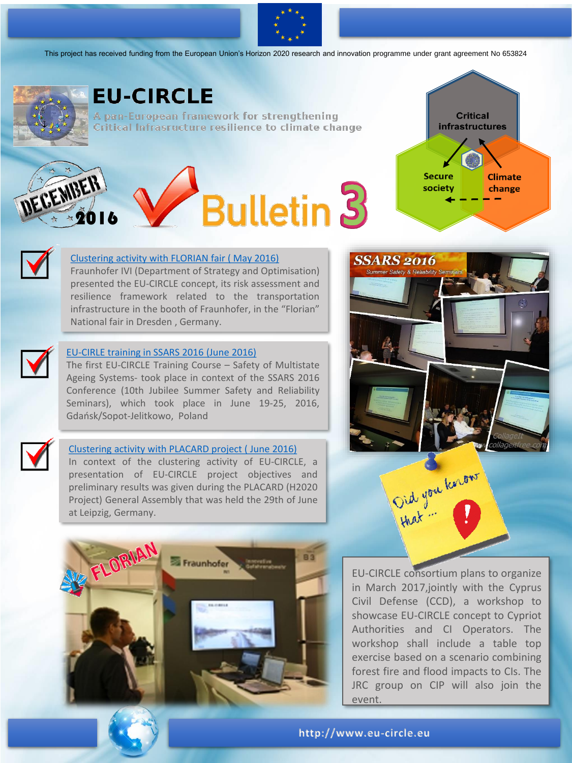

This project has received funding from the European Union's Horizon 2020 research and innovation programme under grant agreement No 653824



### **EU-CIRCLE**

A pan-European framework for strengthening Critical Infrasructure resilience to climate change

# DECEMBER **Bulletin 3**



**SSARS 2016** 



#### [Clustering activity with FLORIAN fair \( May 2016\)](http://www.eu-circle.eu/2016/10/10/493/)

Fraunhofer IVI (Department of Strategy and Optimisation) presented the EU-CIRCLE concept, its risk assessment and resilience framework related to the transportation infrastructure in the booth of Fraunhofer, in the "Florian" National fair in Dresden , Germany.



The first EU-CIRCLE Training Course – Safety of Multistate Ageing Systems- took place in context of the SSARS 2016 Conference (10th Jubilee Summer Safety and Reliability Seminars), which took place in June 19-25, 2016, Gdańsk/Sopot-Jelitkowo, Poland



#### [Clustering activity with PLACARD project \( June 2016\)](http://www.eu-circle.eu/2016/06/30/dissemination-of-eu-circle-during-placard-general-assembly/)

In context of the clustering activity of EU-CIRCLE, a presentation of EU-CIRCLE project objectives and preliminary results was given during the PLACARD (H2020 Project) General Assembly that was held the 29th of June at Leipzig, Germany.



EU-CIRCLE consortium plans to organize in March 2017,jointly with the Cyprus Civil Defense (CCD), a workshop to showcase EU-CIRCLE concept to Cypriot Authorities and CI Operators. The workshop shall include a table top exercise based on a scenario combining forest fire and flood impacts to CIs. The JRC group on CIP will also join the event.

lid you know

**http://www.eu-circle.eu**